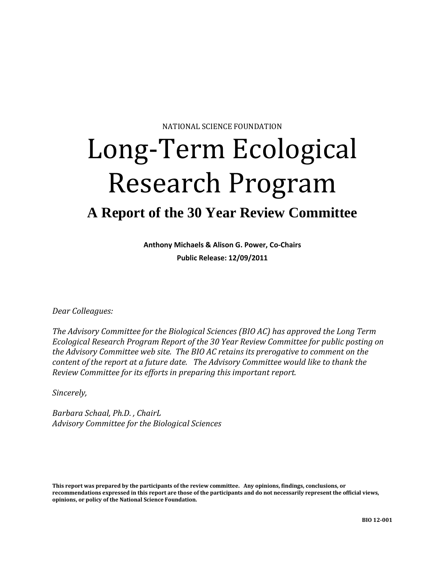NATIONAL SCIENCE FOUNDATION

# Long-Term Ecological Research Program

## **A Report of the 30 Year Review Committee**

**Anthony Michaels & Alison G. Power, Co-Chairs Public Release: 12/09/2011**

*Dear Colleagues:*

*The Advisory Committee for the Biological Sciences (BIO AC) has approved the Long Term Ecological Research Program Report of the 30 Year Review Committee for public posting on the Advisory Committee web site. The BIO AC retains its prerogative to comment on the content of the report at a future date. The Advisory Committee would like to thank the Review Committee for its efforts in preparing this important report.*

*Sincerely,*

*Barbara Schaal, Ph.D. , ChairL Advisory Committee for the Biological Sciences*

<span id="page-0-0"></span>**This report was prepared by the participants of the review committee. Any opinions, findings, conclusions, or recommendations expressed in this report are those of the participants and do not necessarily represent the official views, opinions, or policy of the National Science Foundation.**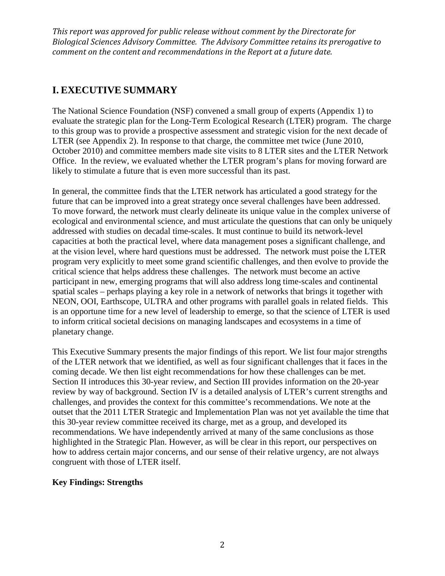## **I. EXECUTIVE SUMMARY**

The National Science Foundation (NSF) convened a small group of experts (Appendix 1) to evaluate the strategic plan for the Long-Term Ecological Research (LTER) program. The charge to this group was to provide a prospective assessment and strategic vision for the next decade of LTER (see Appendix 2). In response to that charge, the committee met twice (June 2010, October 2010) and committee members made site visits to 8 LTER sites and the LTER Network Office. In the review, we evaluated whether the LTER program's plans for moving forward are likely to stimulate a future that is even more successful than its past.

In general, the committee finds that the LTER network has articulated a good strategy for the future that can be improved into a great strategy once several challenges have been addressed. To move forward, the network must clearly delineate its unique value in the complex universe of ecological and environmental science, and must articulate the questions that can only be uniquely addressed with studies on decadal time-scales. It must continue to build its network-level capacities at both the practical level, where data management poses a significant challenge, and at the vision level, where hard questions must be addressed. The network must poise the LTER program very explicitly to meet some grand scientific challenges, and then evolve to provide the critical science that helps address these challenges. The network must become an active participant in new, emerging programs that will also address long time-scales and continental spatial scales – perhaps playing a key role in a network of networks that brings it together with NEON, OOI, Earthscope, ULTRA and other programs with parallel goals in related fields. This is an opportune time for a new level of leadership to emerge, so that the science of LTER is used to inform critical societal decisions on managing landscapes and ecosystems in a time of planetary change.

This Executive Summary presents the major findings of this report. We list four major strengths of the LTER network that we identified, as well as four significant challenges that it faces in the coming decade. We then list eight recommendations for how these challenges can be met. Section II introduces this 30-year review, and Section III provides information on the 20-year review by way of background. Section IV is a detailed analysis of LTER's current strengths and challenges, and provides the context for this committee's recommendations. We note at the outset that the 2011 LTER Strategic and Implementation Plan was not yet available the time that this 30-year review committee received its charge, met as a group, and developed its recommendations. We have independently arrived at many of the same conclusions as those highlighted in the Strategic Plan. However, as will be clear in this report, our perspectives on how to address certain major concerns, and our sense of their relative urgency, are not always congruent with those of LTER itself.

## **Key Findings: Strengths**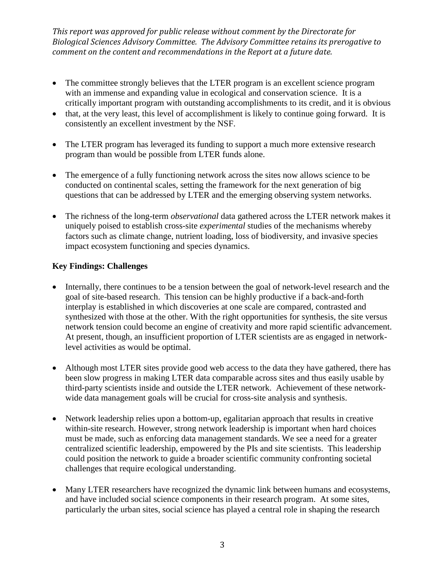- The committee strongly believes that the LTER program is an excellent science program with an immense and expanding value in ecological and conservation science. It is a critically important program with outstanding accomplishments to its credit, and it is obvious
- that, at the very least, this level of accomplishment is likely to continue going forward. It is consistently an excellent investment by the NSF.
- The LTER program has leveraged its funding to support a much more extensive research program than would be possible from LTER funds alone.
- The emergence of a fully functioning network across the sites now allows science to be conducted on continental scales, setting the framework for the next generation of big questions that can be addressed by LTER and the emerging observing system networks.
- The richness of the long-term *observational* data gathered across the LTER network makes it uniquely poised to establish cross-site *experimental* studies of the mechanisms whereby factors such as climate change, nutrient loading, loss of biodiversity, and invasive species impact ecosystem functioning and species dynamics.

## **Key Findings: Challenges**

- Internally, there continues to be a tension between the goal of network-level research and the goal of site-based research. This tension can be highly productive if a back-and-forth interplay is established in which discoveries at one scale are compared, contrasted and synthesized with those at the other. With the right opportunities for synthesis, the site versus network tension could become an engine of creativity and more rapid scientific advancement. At present, though, an insufficient proportion of LTER scientists are as engaged in networklevel activities as would be optimal.
- Although most LTER sites provide good web access to the data they have gathered, there has been slow progress in making LTER data comparable across sites and thus easily usable by third-party scientists inside and outside the LTER network. Achievement of these networkwide data management goals will be crucial for cross-site analysis and synthesis.
- Network leadership relies upon a bottom-up, egalitarian approach that results in creative within-site research. However, strong network leadership is important when hard choices must be made, such as enforcing data management standards. We see a need for a greater centralized scientific leadership, empowered by the PIs and site scientists. This leadership could position the network to guide a broader scientific community confronting societal challenges that require ecological understanding.
- Many LTER researchers have recognized the dynamic link between humans and ecosystems, and have included social science components in their research program. At some sites, particularly the urban sites, social science has played a central role in shaping the research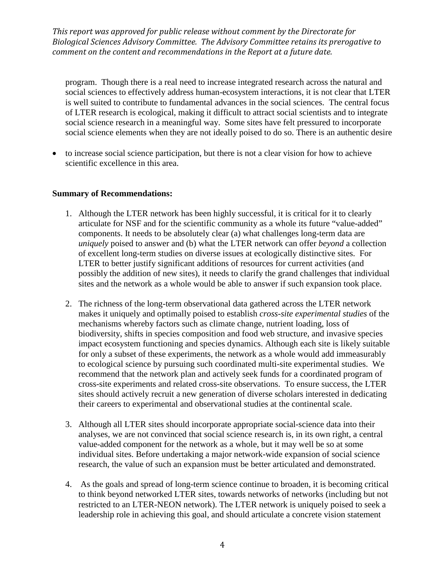program. Though there is a real need to increase integrated research across the natural and social sciences to effectively address human-ecosystem interactions, it is not clear that LTER is well suited to contribute to fundamental advances in the social sciences. The central focus of LTER research is ecological, making it difficult to attract social scientists and to integrate social science research in a meaningful way. Some sites have felt pressured to incorporate social science elements when they are not ideally poised to do so. There is an authentic desire

• to increase social science participation, but there is not a clear vision for how to achieve scientific excellence in this area.

#### **Summary of Recommendations:**

- 1. Although the LTER network has been highly successful, it is critical for it to clearly articulate for NSF and for the scientific community as a whole its future "value-added" components. It needs to be absolutely clear (a) what challenges long-term data are *uniquely* poised to answer and (b) what the LTER network can offer *beyond* a collection of excellent long-term studies on diverse issues at ecologically distinctive sites. For LTER to better justify significant additions of resources for current activities (and possibly the addition of new sites), it needs to clarify the grand challenges that individual sites and the network as a whole would be able to answer if such expansion took place.
- 2. The richness of the long-term observational data gathered across the LTER network makes it uniquely and optimally poised to establish *cross-site experimental studies* of the mechanisms whereby factors such as climate change, nutrient loading, loss of biodiversity, shifts in species composition and food web structure, and invasive species impact ecosystem functioning and species dynamics. Although each site is likely suitable for only a subset of these experiments, the network as a whole would add immeasurably to ecological science by pursuing such coordinated multi-site experimental studies. We recommend that the network plan and actively seek funds for a coordinated program of cross-site experiments and related cross-site observations. To ensure success, the LTER sites should actively recruit a new generation of diverse scholars interested in dedicating their careers to experimental and observational studies at the continental scale.
- 3. Although all LTER sites should incorporate appropriate social-science data into their analyses, we are not convinced that social science research is, in its own right, a central value-added component for the network as a whole, but it may well be so at some individual sites. Before undertaking a major network-wide expansion of social science research, the value of such an expansion must be better articulated and demonstrated.
- 4. As the goals and spread of long-term science continue to broaden, it is becoming critical to think beyond networked LTER sites, towards networks of networks (including but not restricted to an LTER-NEON network). The LTER network is uniquely poised to seek a leadership role in achieving this goal, and should articulate a concrete vision statement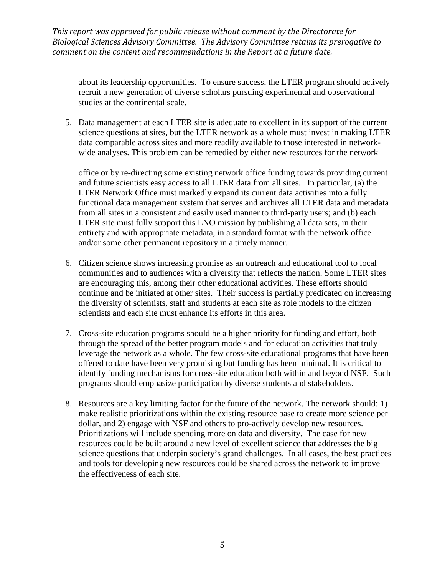about its leadership opportunities. To ensure success, the LTER program should actively recruit a new generation of diverse scholars pursuing experimental and observational studies at the continental scale.

5. Data management at each LTER site is adequate to excellent in its support of the current science questions at sites, but the LTER network as a whole must invest in making LTER data comparable across sites and more readily available to those interested in networkwide analyses. This problem can be remedied by either new resources for the network

office or by re-directing some existing network office funding towards providing current and future scientists easy access to all LTER data from all sites. In particular, (a) the LTER Network Office must markedly expand its current data activities into a fully functional data management system that serves and archives all LTER data and metadata from all sites in a consistent and easily used manner to third-party users; and (b) each LTER site must fully support this LNO mission by publishing all data sets, in their entirety and with appropriate metadata, in a standard format with the network office and/or some other permanent repository in a timely manner.

- 6. Citizen science shows increasing promise as an outreach and educational tool to local communities and to audiences with a diversity that reflects the nation. Some LTER sites are encouraging this, among their other educational activities. These efforts should continue and be initiated at other sites. Their success is partially predicated on increasing the diversity of scientists, staff and students at each site as role models to the citizen scientists and each site must enhance its efforts in this area.
- 7. Cross-site education programs should be a higher priority for funding and effort, both through the spread of the better program models and for education activities that truly leverage the network as a whole. The few cross-site educational programs that have been offered to date have been very promising but funding has been minimal. It is critical to identify funding mechanisms for cross-site education both within and beyond NSF. Such programs should emphasize participation by diverse students and stakeholders.
- 8. Resources are a key limiting factor for the future of the network. The network should: 1) make realistic prioritizations within the existing resource base to create more science per dollar, and 2) engage with NSF and others to pro-actively develop new resources. Prioritizations will include spending more on data and diversity. The case for new resources could be built around a new level of excellent science that addresses the big science questions that underpin society's grand challenges. In all cases, the best practices and tools for developing new resources could be shared across the network to improve the effectiveness of each site.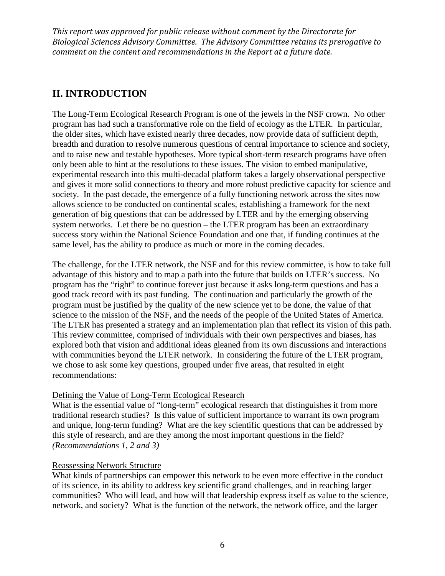## **II. INTRODUCTION**

The Long-Term Ecological Research Program is one of the jewels in the NSF crown. No other program has had such a transformative role on the field of ecology as the LTER. In particular, the older sites, which have existed nearly three decades, now provide data of sufficient depth, breadth and duration to resolve numerous questions of central importance to science and society, and to raise new and testable hypotheses. More typical short-term research programs have often only been able to hint at the resolutions to these issues. The vision to embed manipulative, experimental research into this multi-decadal platform takes a largely observational perspective and gives it more solid connections to theory and more robust predictive capacity for science and society. In the past decade, the emergence of a fully functioning network across the sites now allows science to be conducted on continental scales, establishing a framework for the next generation of big questions that can be addressed by LTER and by the emerging observing system networks. Let there be no question – the LTER program has been an extraordinary success story within the National Science Foundation and one that, if funding continues at the same level, has the ability to produce as much or more in the coming decades.

The challenge, for the LTER network, the NSF and for this review committee, is how to take full advantage of this history and to map a path into the future that builds on LTER's success. No program has the "right" to continue forever just because it asks long-term questions and has a good track record with its past funding. The continuation and particularly the growth of the program must be justified by the quality of the new science yet to be done, the value of that science to the mission of the NSF, and the needs of the people of the United States of America. The LTER has presented a strategy and an implementation plan that reflect its vision of this path. This review committee, comprised of individuals with their own perspectives and biases, has explored both that vision and additional ideas gleaned from its own discussions and interactions with communities beyond the LTER network. In considering the future of the LTER program, we chose to ask some key questions, grouped under five areas, that resulted in eight recommendations:

## Defining the Value of Long-Term Ecological Research

What is the essential value of "long-term" ecological research that distinguishes it from more traditional research studies? Is this value of sufficient importance to warrant its own program and unique, long-term funding? What are the key scientific questions that can be addressed by this style of research, and are they among the most important questions in the field? *(Recommendations 1, 2 and 3)*

## Reassessing Network Structure

What kinds of partnerships can empower this network to be even more effective in the conduct of its science, in its ability to address key scientific grand challenges, and in reaching larger communities? Who will lead, and how will that leadership express itself as value to the science, network, and society? What is the function of the network, the network office, and the larger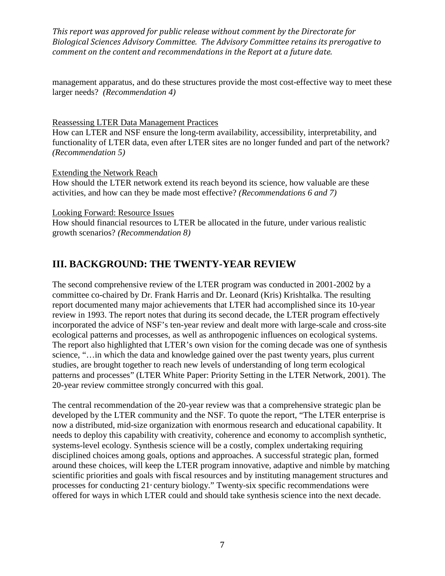management apparatus, and do these structures provide the most cost-effective way to meet these larger needs? *(Recommendation 4)*

#### Reassessing LTER Data Management Practices

How can LTER and NSF ensure the long-term availability, accessibility, interpretability, and functionality of LTER data, even after LTER sites are no longer funded and part of the network? *(Recommendation 5)*

## Extending the Network Reach

How should the LTER network extend its reach beyond its science, how valuable are these activities, and how can they be made most effective? *(Recommendations 6 and 7)*

Looking Forward: Resource Issues

How should financial resources to LTER be allocated in the future, under various realistic growth scenarios? *(Recommendation 8)*

## **III. BACKGROUND: THE TWENTY-YEAR REVIEW**

The second comprehensive review of the LTER program was conducted in 2001-2002 by a committee co-chaired by Dr. Frank Harris and Dr. Leonard (Kris) Krishtalka. The resulting report documented many major achievements that LTER had accomplished since its 10-year review in 1993. The report notes that during its second decade, the LTER program effectively incorporated the advice of NSF's ten-year review and dealt more with large-scale and cross-site ecological patterns and processes, as well as anthropogenic influences on ecological systems. The report also highlighted that LTER's own vision for the coming decade was one of synthesis science, "…in which the data and knowledge gained over the past twenty years, plus current studies, are brought together to reach new levels of understanding of long term ecological patterns and processes" (LTER White Paper: Priority Setting in the LTER Network, 2001). The 20-year review committee strongly concurred with this goal.

The central recommendation of the 20-year review was that a comprehensive strategic plan be developed by the LTER community and the NSF. To quote the report, "The LTER enterprise is now a distributed, mid-size organization with enormous research and educational capability. It needs to deploy this capability with creativity, coherence and economy to accomplish synthetic, systems-level ecology. Synthesis science will be a costly, complex undertaking requiring disciplined choices among goals, options and approaches. A successful strategic plan, formed around these choices, will keep the LTER program innovative, adaptive and nimble by matching scientific priorities and goals with fiscal resources and by instituting management structures and processes for conducting  $21$  century biology." Twenty-six specific recommendations were offered for ways in which LTER could and should take synthesis science into the next decade.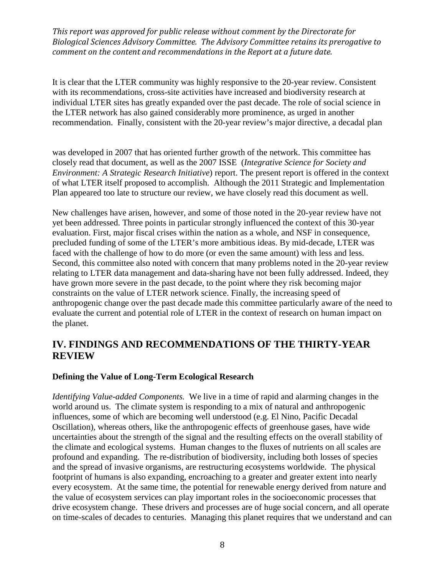It is clear that the LTER community was highly responsive to the 20-year review. Consistent with its recommendations, cross-site activities have increased and biodiversity research at individual LTER sites has greatly expanded over the past decade. The role of social science in the LTER network has also gained considerably more prominence, as urged in another recommendation. Finally, consistent with the 20-year review's major directive, a decadal plan

was developed in 2007 that has oriented further growth of the network. This committee has closely read that document, as well as the 2007 ISSE (*Integrative Science for Society and Environment: A Strategic Research Initiative*) report. The present report is offered in the context of what LTER itself proposed to accomplish. Although the 2011 Strategic and Implementation Plan appeared too late to structure our review, we have closely read this document as well.

New challenges have arisen, however, and some of those noted in the 20-year review have not yet been addressed. Three points in particular strongly influenced the context of this 30-year evaluation. First, major fiscal crises within the nation as a whole, and NSF in consequence, precluded funding of some of the LTER's more ambitious ideas. By mid-decade, LTER was faced with the challenge of how to do more (or even the same amount) with less and less. Second, this committee also noted with concern that many problems noted in the 20-year review relating to LTER data management and data-sharing have not been fully addressed. Indeed, they have grown more severe in the past decade, to the point where they risk becoming major constraints on the value of LTER network science. Finally, the increasing speed of anthropogenic change over the past decade made this committee particularly aware of the need to evaluate the current and potential role of LTER in the context of research on human impact on the planet.

## **IV. FINDINGS AND RECOMMENDATIONS OF THE THIRTY-YEAR REVIEW**

#### **Defining the Value of Long-Term Ecological Research**

*Identifying Value-added Components.* We live in a time of rapid and alarming changes in the world around us. The climate system is responding to a mix of natural and anthropogenic influences, some of which are becoming well understood (e.g. El Nino, Pacific Decadal Oscillation), whereas others, like the anthropogenic effects of greenhouse gases, have wide uncertainties about the strength of the signal and the resulting effects on the overall stability of the climate and ecological systems. Human changes to the fluxes of nutrients on all scales are profound and expanding. The re-distribution of biodiversity, including both losses of species and the spread of invasive organisms, are restructuring ecosystems worldwide. The physical footprint of humans is also expanding, encroaching to a greater and greater extent into nearly every ecosystem. At the same time, the potential for renewable energy derived from nature and the value of ecosystem services can play important roles in the socioeconomic processes that drive ecosystem change. These drivers and processes are of huge social concern, and all operate on time-scales of decades to centuries. Managing this planet requires that we understand and can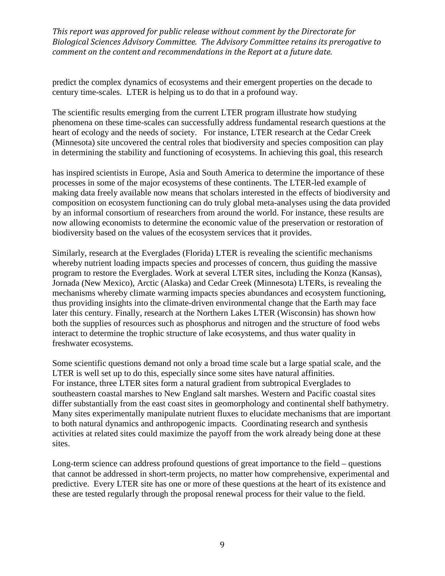predict the complex dynamics of ecosystems and their emergent properties on the decade to century time-scales. LTER is helping us to do that in a profound way.

The scientific results emerging from the current LTER program illustrate how studying phenomena on these time-scales can successfully address fundamental research questions at the heart of ecology and the needs of society. For instance, LTER research at the Cedar Creek (Minnesota) site uncovered the central roles that biodiversity and species composition can play in determining the stability and functioning of ecosystems. In achieving this goal, this research

has inspired scientists in Europe, Asia and South America to determine the importance of these processes in some of the major ecosystems of these continents. The LTER-led example of making data freely available now means that scholars interested in the effects of biodiversity and composition on ecosystem functioning can do truly global meta-analyses using the data provided by an informal consortium of researchers from around the world. For instance, these results are now allowing economists to determine the economic value of the preservation or restoration of biodiversity based on the values of the ecosystem services that it provides.

Similarly, research at the Everglades (Florida) LTER is revealing the scientific mechanisms whereby nutrient loading impacts species and processes of concern, thus guiding the massive program to restore the Everglades. Work at several LTER sites, including the Konza (Kansas), Jornada (New Mexico), Arctic (Alaska) and Cedar Creek (Minnesota) LTERs, is revealing the mechanisms whereby climate warming impacts species abundances and ecosystem functioning, thus providing insights into the climate-driven environmental change that the Earth may face later this century. Finally, research at the Northern Lakes LTER (Wisconsin) has shown how both the supplies of resources such as phosphorus and nitrogen and the structure of food webs interact to determine the trophic structure of lake ecosystems, and thus water quality in freshwater ecosystems.

Some scientific questions demand not only a broad time scale but a large spatial scale, and the LTER is well set up to do this, especially since some sites have natural affinities. For instance, three LTER sites form a natural gradient from subtropical Everglades to southeastern coastal marshes to New England salt marshes. Western and Pacific coastal sites differ substantially from the east coast sites in geomorphology and continental shelf bathymetry. Many sites experimentally manipulate nutrient fluxes to elucidate mechanisms that are important to both natural dynamics and anthropogenic impacts. Coordinating research and synthesis activities at related sites could maximize the payoff from the work already being done at these sites.

Long-term science can address profound questions of great importance to the field – questions that cannot be addressed in short-term projects, no matter how comprehensive, experimental and predictive. Every LTER site has one or more of these questions at the heart of its existence and these are tested regularly through the proposal renewal process for their value to the field.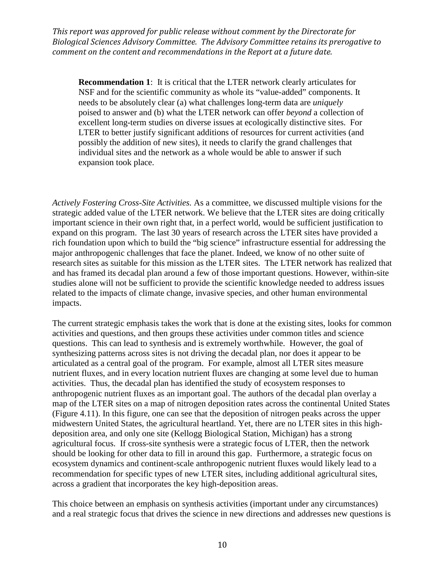**Recommendation 1**: It is critical that the LTER network clearly articulates for NSF and for the scientific community as whole its "value-added" components. It needs to be absolutely clear (a) what challenges long-term data are *uniquely* poised to answer and (b) what the LTER network can offer *beyond* a collection of excellent long-term studies on diverse issues at ecologically distinctive sites. For LTER to better justify significant additions of resources for current activities (and possibly the addition of new sites), it needs to clarify the grand challenges that individual sites and the network as a whole would be able to answer if such expansion took place.

*Actively Fostering Cross-Site Activities.* As a committee, we discussed multiple visions for the strategic added value of the LTER network. We believe that the LTER sites are doing critically important science in their own right that, in a perfect world, would be sufficient justification to expand on this program. The last 30 years of research across the LTER sites have provided a rich foundation upon which to build the "big science" infrastructure essential for addressing the major anthropogenic challenges that face the planet. Indeed, we know of no other suite of research sites as suitable for this mission as the LTER sites. The LTER network has realized that and has framed its decadal plan around a few of those important questions. However, within-site studies alone will not be sufficient to provide the scientific knowledge needed to address issues related to the impacts of climate change, invasive species, and other human environmental impacts.

The current strategic emphasis takes the work that is done at the existing sites, looks for common activities and questions, and then groups these activities under common titles and science questions. This can lead to synthesis and is extremely worthwhile. However, the goal of synthesizing patterns across sites is not driving the decadal plan, nor does it appear to be articulated as a central goal of the program. For example, almost all LTER sites measure nutrient fluxes, and in every location nutrient fluxes are changing at some level due to human activities. Thus, the decadal plan has identified the study of ecosystem responses to anthropogenic nutrient fluxes as an important goal. The authors of the decadal plan overlay a map of the LTER sites on a map of nitrogen deposition rates across the continental United States (Figure 4.11). In this figure, one can see that the deposition of nitrogen peaks across the upper midwestern United States, the agricultural heartland. Yet, there are no LTER sites in this highdeposition area, and only one site (Kellogg Biological Station, Michigan) has a strong agricultural focus. If cross-site synthesis were a strategic focus of LTER, then the network should be looking for other data to fill in around this gap. Furthermore, a strategic focus on ecosystem dynamics and continent-scale anthropogenic nutrient fluxes would likely lead to a recommendation for specific types of new LTER sites, including additional agricultural sites, across a gradient that incorporates the key high-deposition areas.

This choice between an emphasis on synthesis activities (important under any circumstances) and a real strategic focus that drives the science in new directions and addresses new questions is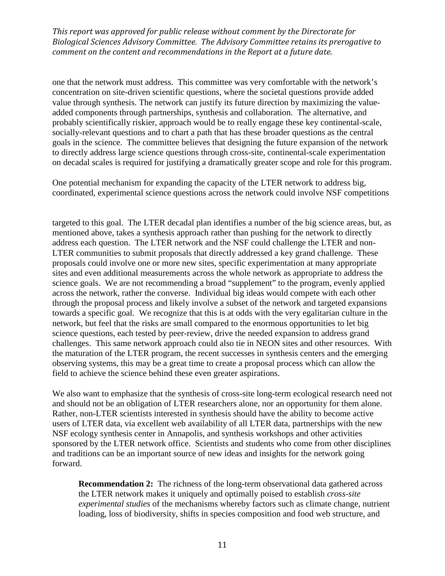one that the network must address. This committee was very comfortable with the network's concentration on site-driven scientific questions, where the societal questions provide added value through synthesis. The network can justify its future direction by maximizing the valueadded components through partnerships, synthesis and collaboration. The alternative, and probably scientifically riskier, approach would be to really engage these key continental-scale, socially-relevant questions and to chart a path that has these broader questions as the central goals in the science. The committee believes that designing the future expansion of the network to directly address large science questions through cross-site, continental-scale experimentation on decadal scales is required for justifying a dramatically greater scope and role for this program.

One potential mechanism for expanding the capacity of the LTER network to address big, coordinated, experimental science questions across the network could involve NSF competitions

targeted to this goal. The LTER decadal plan identifies a number of the big science areas, but, as mentioned above, takes a synthesis approach rather than pushing for the network to directly address each question. The LTER network and the NSF could challenge the LTER and non-LTER communities to submit proposals that directly addressed a key grand challenge. These proposals could involve one or more new sites, specific experimentation at many appropriate sites and even additional measurements across the whole network as appropriate to address the science goals. We are not recommending a broad "supplement" to the program, evenly applied across the network, rather the converse. Individual big ideas would compete with each other through the proposal process and likely involve a subset of the network and targeted expansions towards a specific goal. We recognize that this is at odds with the very egalitarian culture in the network, but feel that the risks are small compared to the enormous opportunities to let big science questions, each tested by peer-review, drive the needed expansion to address grand challenges. This same network approach could also tie in NEON sites and other resources. With the maturation of the LTER program, the recent successes in synthesis centers and the emerging observing systems, this may be a great time to create a proposal process which can allow the field to achieve the science behind these even greater aspirations.

We also want to emphasize that the synthesis of cross-site long-term ecological research need not and should not be an obligation of LTER researchers alone, nor an opportunity for them alone. Rather, non-LTER scientists interested in synthesis should have the ability to become active users of LTER data, via excellent web availability of all LTER data, partnerships with the new NSF ecology synthesis center in Annapolis, and synthesis workshops and other activities sponsored by the LTER network office. Scientists and students who come from other disciplines and traditions can be an important source of new ideas and insights for the network going forward.

**Recommendation 2:** The richness of the long-term observational data gathered across the LTER network makes it uniquely and optimally poised to establish *cross-site experimental studies* of the mechanisms whereby factors such as climate change, nutrient loading, loss of biodiversity, shifts in species composition and food web structure, and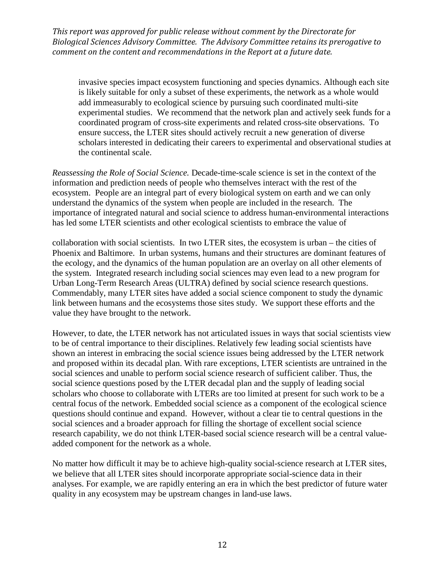invasive species impact ecosystem functioning and species dynamics. Although each site is likely suitable for only a subset of these experiments, the network as a whole would add immeasurably to ecological science by pursuing such coordinated multi-site experimental studies. We recommend that the network plan and actively seek funds for a coordinated program of cross-site experiments and related cross-site observations. To ensure success, the LTER sites should actively recruit a new generation of diverse scholars interested in dedicating their careers to experimental and observational studies at the continental scale.

*Reassessing the Role of Social Science.* Decade-time-scale science is set in the context of the information and prediction needs of people who themselves interact with the rest of the ecosystem. People are an integral part of every biological system on earth and we can only understand the dynamics of the system when people are included in the research. The importance of integrated natural and social science to address human-environmental interactions has led some LTER scientists and other ecological scientists to embrace the value of

collaboration with social scientists. In two LTER sites, the ecosystem is urban – the cities of Phoenix and Baltimore. In urban systems, humans and their structures are dominant features of the ecology, and the dynamics of the human population are an overlay on all other elements of the system. Integrated research including social sciences may even lead to a new program for Urban Long-Term Research Areas (ULTRA) defined by social science research questions. Commendably, many LTER sites have added a social science component to study the dynamic link between humans and the ecosystems those sites study. We support these efforts and the value they have brought to the network.

However, to date, the LTER network has not articulated issues in ways that social scientists view to be of central importance to their disciplines. Relatively few leading social scientists have shown an interest in embracing the social science issues being addressed by the LTER network and proposed within its decadal plan. With rare exceptions, LTER scientists are untrained in the social sciences and unable to perform social science research of sufficient caliber. Thus, the social science questions posed by the LTER decadal plan and the supply of leading social scholars who choose to collaborate with LTERs are too limited at present for such work to be a central focus of the network. Embedded social science as a component of the ecological science questions should continue and expand. However, without a clear tie to central questions in the social sciences and a broader approach for filling the shortage of excellent social science research capability, we do not think LTER-based social science research will be a central valueadded component for the network as a whole.

No matter how difficult it may be to achieve high-quality social-science research at LTER sites, we believe that all LTER sites should incorporate appropriate social-science data in their analyses. For example, we are rapidly entering an era in which the best predictor of future water quality in any ecosystem may be upstream changes in land-use laws.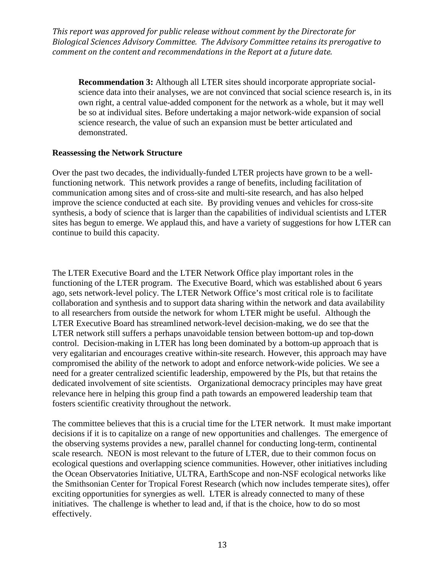**Recommendation 3:** Although all LTER sites should incorporate appropriate socialscience data into their analyses, we are not convinced that social science research is, in its own right, a central value-added component for the network as a whole, but it may well be so at individual sites. Before undertaking a major network-wide expansion of social science research, the value of such an expansion must be better articulated and demonstrated.

#### **Reassessing the Network Structure**

Over the past two decades, the individually-funded LTER projects have grown to be a wellfunctioning network. This network provides a range of benefits, including facilitation of communication among sites and of cross-site and multi-site research, and has also helped improve the science conducted at each site. By providing venues and vehicles for cross-site synthesis, a body of science that is larger than the capabilities of individual scientists and LTER sites has begun to emerge. We applaud this, and have a variety of suggestions for how LTER can continue to build this capacity.

The LTER Executive Board and the LTER Network Office play important roles in the functioning of the LTER program. The Executive Board, which was established about 6 years ago, sets network-level policy. The LTER Network Office's most critical role is to facilitate collaboration and synthesis and to support data sharing within the network and data availability to all researchers from outside the network for whom LTER might be useful. Although the LTER Executive Board has streamlined network-level decision-making, we do see that the LTER network still suffers a perhaps unavoidable tension between bottom-up and top-down control. Decision-making in LTER has long been dominated by a bottom-up approach that is very egalitarian and encourages creative within-site research. However, this approach may have compromised the ability of the network to adopt and enforce network-wide policies. We see a need for a greater centralized scientific leadership, empowered by the PIs, but that retains the dedicated involvement of site scientists. Organizational democracy principles may have great relevance here in helping this group find a path towards an empowered leadership team that fosters scientific creativity throughout the network.

The committee believes that this is a crucial time for the LTER network. It must make important decisions if it is to capitalize on a range of new opportunities and challenges. The emergence of the observing systems provides a new, parallel channel for conducting long-term, continental scale research. NEON is most relevant to the future of LTER, due to their common focus on ecological questions and overlapping science communities. However, other initiatives including the Ocean Observatories Initiative, ULTRA, EarthScope and non-NSF ecological networks like the Smithsonian Center for Tropical Forest Research (which now includes temperate sites), offer exciting opportunities for synergies as well. LTER is already connected to many of these initiatives. The challenge is whether to lead and, if that is the choice, how to do so most effectively.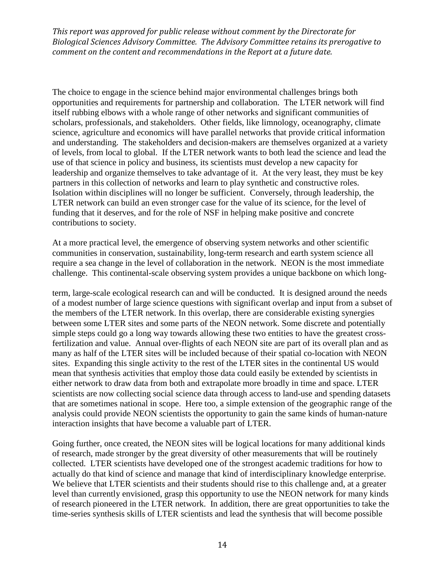The choice to engage in the science behind major environmental challenges brings both opportunities and requirements for partnership and collaboration. The LTER network will find itself rubbing elbows with a whole range of other networks and significant communities of scholars, professionals, and stakeholders. Other fields, like limnology, oceanography, climate science, agriculture and economics will have parallel networks that provide critical information and understanding. The stakeholders and decision-makers are themselves organized at a variety of levels, from local to global. If the LTER network wants to both lead the science and lead the use of that science in policy and business, its scientists must develop a new capacity for leadership and organize themselves to take advantage of it. At the very least, they must be key partners in this collection of networks and learn to play synthetic and constructive roles. Isolation within disciplines will no longer be sufficient. Conversely, through leadership, the LTER network can build an even stronger case for the value of its science, for the level of funding that it deserves, and for the role of NSF in helping make positive and concrete contributions to society.

At a more practical level, the emergence of observing system networks and other scientific communities in conservation, sustainability, long-term research and earth system science all require a sea change in the level of collaboration in the network. NEON is the most immediate challenge. This continental-scale observing system provides a unique backbone on which long-

term, large-scale ecological research can and will be conducted. It is designed around the needs of a modest number of large science questions with significant overlap and input from a subset of the members of the LTER network. In this overlap, there are considerable existing synergies between some LTER sites and some parts of the NEON network. Some discrete and potentially simple steps could go a long way towards allowing these two entities to have the greatest crossfertilization and value. Annual over-flights of each NEON site are part of its overall plan and as many as half of the LTER sites will be included because of their spatial co-location with NEON sites. Expanding this single activity to the rest of the LTER sites in the continental US would mean that synthesis activities that employ those data could easily be extended by scientists in either network to draw data from both and extrapolate more broadly in time and space. LTER scientists are now collecting social science data through access to land-use and spending datasets that are sometimes national in scope. Here too, a simple extension of the geographic range of the analysis could provide NEON scientists the opportunity to gain the same kinds of human-nature interaction insights that have become a valuable part of LTER.

Going further, once created, the NEON sites will be logical locations for many additional kinds of research, made stronger by the great diversity of other measurements that will be routinely collected. LTER scientists have developed one of the strongest academic traditions for how to actually do that kind of science and manage that kind of interdisciplinary knowledge enterprise. We believe that LTER scientists and their students should rise to this challenge and, at a greater level than currently envisioned, grasp this opportunity to use the NEON network for many kinds of research pioneered in the LTER network. In addition, there are great opportunities to take the time-series synthesis skills of LTER scientists and lead the synthesis that will become possible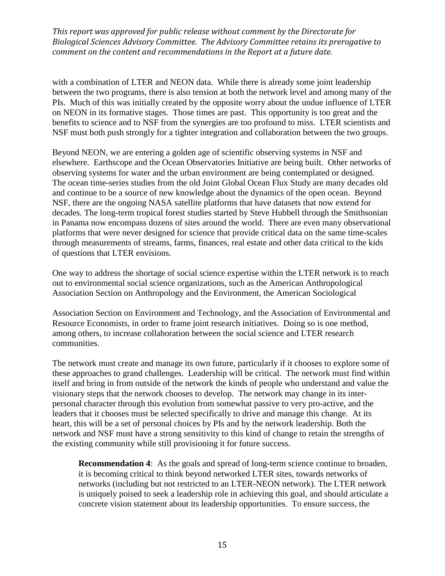with a combination of LTER and NEON data. While there is already some joint leadership between the two programs, there is also tension at both the network level and among many of the PIs. Much of this was initially created by the opposite worry about the undue influence of LTER on NEON in its formative stages. Those times are past. This opportunity is too great and the benefits to science and to NSF from the synergies are too profound to miss. LTER scientists and NSF must both push strongly for a tighter integration and collaboration between the two groups.

Beyond NEON, we are entering a golden age of scientific observing systems in NSF and elsewhere. Earthscope and the Ocean Observatories Initiative are being built. Other networks of observing systems for water and the urban environment are being contemplated or designed. The ocean time-series studies from the old Joint Global Ocean Flux Study are many decades old and continue to be a source of new knowledge about the dynamics of the open ocean. Beyond NSF, there are the ongoing NASA satellite platforms that have datasets that now extend for decades. The long-term tropical forest studies started by Steve Hubbell through the Smithsonian in Panama now encompass dozens of sites around the world. There are even many observational platforms that were never designed for science that provide critical data on the same time-scales through measurements of streams, farms, finances, real estate and other data critical to the kids of questions that LTER envisions.

One way to address the shortage of social science expertise within the LTER network is to reach out to environmental social science organizations, such as the American Anthropological Association Section on Anthropology and the Environment, the American Sociological

Association Section on Environment and Technology, and the Association of Environmental and Resource Economists, in order to frame joint research initiatives. Doing so is one method, among others, to increase collaboration between the social science and LTER research communities.

The network must create and manage its own future, particularly if it chooses to explore some of these approaches to grand challenges. Leadership will be critical. The network must find within itself and bring in from outside of the network the kinds of people who understand and value the visionary steps that the network chooses to develop. The network may change in its interpersonal character through this evolution from somewhat passive to very pro-active, and the leaders that it chooses must be selected specifically to drive and manage this change. At its heart, this will be a set of personal choices by PIs and by the network leadership. Both the network and NSF must have a strong sensitivity to this kind of change to retain the strengths of the existing community while still provisioning it for future success.

**Recommendation 4:** As the goals and spread of long-term science continue to broaden, it is becoming critical to think beyond networked LTER sites, towards networks of networks (including but not restricted to an LTER-NEON network). The LTER network is uniquely poised to seek a leadership role in achieving this goal, and should articulate a concrete vision statement about its leadership opportunities. To ensure success, the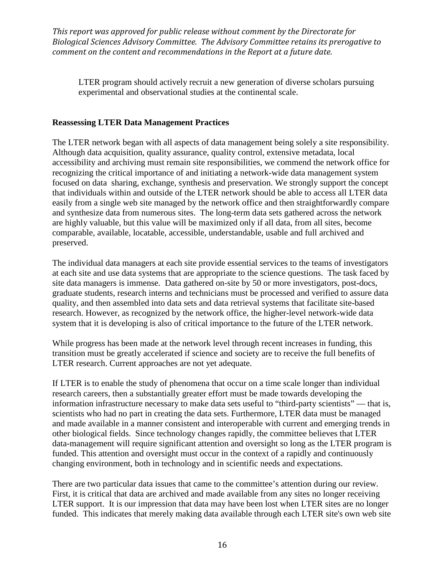LTER program should actively recruit a new generation of diverse scholars pursuing experimental and observational studies at the continental scale.

## **Reassessing LTER Data Management Practices**

The LTER network began with all aspects of data management being solely a site responsibility. Although data acquisition, quality assurance, quality control, extensive metadata, local accessibility and archiving must remain site responsibilities, we commend the network office for recognizing the critical importance of and initiating a network-wide data management system focused on data sharing, exchange, synthesis and preservation. We strongly support the concept that individuals within and outside of the LTER network should be able to access all LTER data easily from a single web site managed by the network office and then straightforwardly compare and synthesize data from numerous sites. The long-term data sets gathered across the network are highly valuable, but this value will be maximized only if all data, from all sites, become comparable, available, locatable, accessible, understandable, usable and full archived and preserved.

The individual data managers at each site provide essential services to the teams of investigators at each site and use data systems that are appropriate to the science questions. The task faced by site data managers is immense. Data gathered on-site by 50 or more investigators, post-docs, graduate students, research interns and technicians must be processed and verified to assure data quality, and then assembled into data sets and data retrieval systems that facilitate site-based research. However, as recognized by the network office, the higher-level network-wide data system that it is developing is also of critical importance to the future of the LTER network.

While progress has been made at the network level through recent increases in funding, this transition must be greatly accelerated if science and society are to receive the full benefits of LTER research. Current approaches are not yet adequate.

If LTER is to enable the study of phenomena that occur on a time scale longer than individual research careers, then a substantially greater effort must be made towards developing the information infrastructure necessary to make data sets useful to "third-party scientists" — that is, scientists who had no part in creating the data sets. Furthermore, LTER data must be managed and made available in a manner consistent and interoperable with current and emerging trends in other biological fields. Since technology changes rapidly, the committee believes that LTER data-management will require significant attention and oversight so long as the LTER program is funded. This attention and oversight must occur in the context of a rapidly and continuously changing environment, both in technology and in scientific needs and expectations.

There are two particular data issues that came to the committee's attention during our review. First, it is critical that data are archived and made available from any sites no longer receiving LTER support. It is our impression that data may have been lost when LTER sites are no longer funded. This indicates that merely making data available through each LTER site's own web site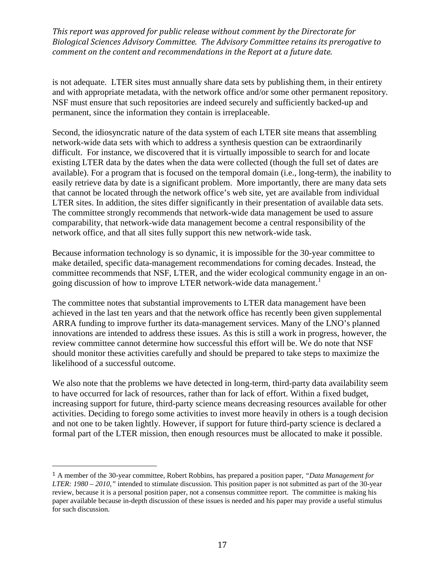is not adequate. LTER sites must annually share data sets by publishing them, in their entirety and with appropriate metadata, with the network office and/or some other permanent repository. NSF must ensure that such repositories are indeed securely and sufficiently backed-up and permanent, since the information they contain is irreplaceable.

Second, the idiosyncratic nature of the data system of each LTER site means that assembling network-wide data sets with which to address a synthesis question can be extraordinarily difficult. For instance, we discovered that it is virtually impossible to search for and locate existing LTER data by the dates when the data were collected (though the full set of dates are available). For a program that is focused on the temporal domain (i.e., long-term), the inability to easily retrieve data by date is a significant problem. More importantly, there are many data sets that cannot be located through the network office's web site, yet are available from individual LTER sites. In addition, the sites differ significantly in their presentation of available data sets. The committee strongly recommends that network-wide data management be used to assure comparability, that network-wide data management become a central responsibility of the network office, and that all sites fully support this new network-wide task.

Because information technology is so dynamic, it is impossible for the 30-year committee to make detailed, specific data-management recommendations for coming decades. Instead, the committee recommends that NSF, LTER, and the wider ecological community engage in an on-going discussion of how to improve LTER network-wide data management.<sup>[1](#page-0-0)</sup>

The committee notes that substantial improvements to LTER data management have been achieved in the last ten years and that the network office has recently been given supplemental ARRA funding to improve further its data-management services. Many of the LNO's planned innovations are intended to address these issues. As this is still a work in progress, however, the review committee cannot determine how successful this effort will be. We do note that NSF should monitor these activities carefully and should be prepared to take steps to maximize the likelihood of a successful outcome.

We also note that the problems we have detected in long-term, third-party data availability seem to have occurred for lack of resources, rather than for lack of effort. Within a fixed budget, increasing support for future, third-party science means decreasing resources available for other activities. Deciding to forego some activities to invest more heavily in others is a tough decision and not one to be taken lightly. However, if support for future third-party science is declared a formal part of the LTER mission, then enough resources must be allocated to make it possible.

 <sup>1</sup> A member of the 30-year committee, Robert Robbins, has prepared a position paper, *"Data Management for LTER: 1980 – 2010,"* intended to stimulate discussion. This position paper is not submitted as part of the 30-year review, because it is a personal position paper, not a consensus committee report. The committee is making his paper available because in-depth discussion of these issues is needed and his paper may provide a useful stimulus for such discussion.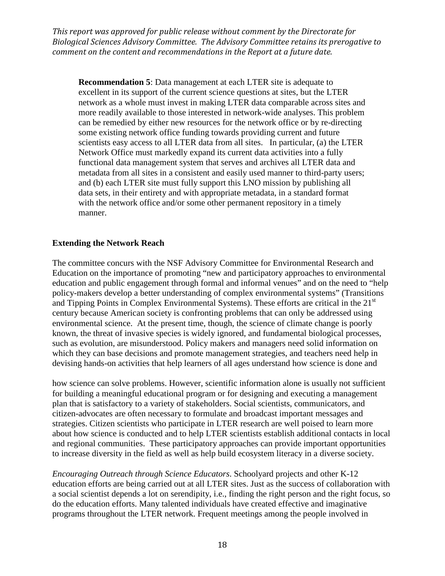**Recommendation 5**: Data management at each LTER site is adequate to excellent in its support of the current science questions at sites, but the LTER network as a whole must invest in making LTER data comparable across sites and more readily available to those interested in network-wide analyses. This problem can be remedied by either new resources for the network office or by re-directing some existing network office funding towards providing current and future scientists easy access to all LTER data from all sites. In particular, (a) the LTER Network Office must markedly expand its current data activities into a fully functional data management system that serves and archives all LTER data and metadata from all sites in a consistent and easily used manner to third-party users; and (b) each LTER site must fully support this LNO mission by publishing all data sets, in their entirety and with appropriate metadata, in a standard format with the network office and/or some other permanent repository in a timely manner.

#### **Extending the Network Reach**

The committee concurs with the NSF Advisory Committee for Environmental Research and Education on the importance of promoting "new and participatory approaches to environmental education and public engagement through formal and informal venues" and on the need to "help policy-makers develop a better understanding of complex environmental systems" (Transitions and Tipping Points in Complex Environmental Systems). These efforts are critical in the 21<sup>st</sup> century because American society is confronting problems that can only be addressed using environmental science. At the present time, though, the science of climate change is poorly known, the threat of invasive species is widely ignored, and fundamental biological processes, such as evolution, are misunderstood. Policy makers and managers need solid information on which they can base decisions and promote management strategies, and teachers need help in devising hands-on activities that help learners of all ages understand how science is done and

how science can solve problems. However, scientific information alone is usually not sufficient for building a meaningful educational program or for designing and executing a management plan that is satisfactory to a variety of stakeholders. Social scientists, communicators, and citizen-advocates are often necessary to formulate and broadcast important messages and strategies. Citizen scientists who participate in LTER research are well poised to learn more about how science is conducted and to help LTER scientists establish additional contacts in local and regional communities. These participatory approaches can provide important opportunities to increase diversity in the field as well as help build ecosystem literacy in a diverse society.

*Encouraging Outreach through Science Educators*. Schoolyard projects and other K-12 education efforts are being carried out at all LTER sites. Just as the success of collaboration with a social scientist depends a lot on serendipity, i.e., finding the right person and the right focus, so do the education efforts. Many talented individuals have created effective and imaginative programs throughout the LTER network. Frequent meetings among the people involved in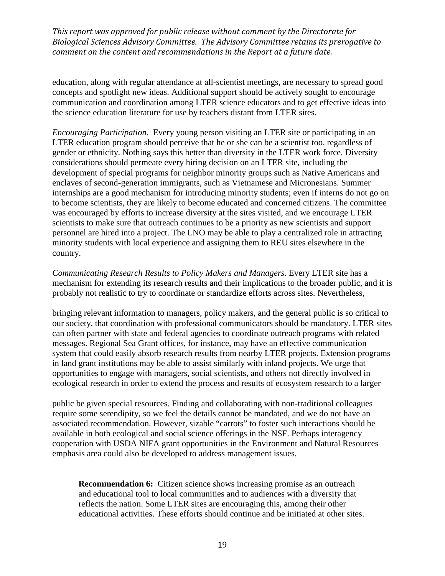education, along with regular attendance at all-scientist meetings, are necessary to spread good concepts and spotlight new ideas. Additional support should be actively sought to encourage communication and coordination among LTER science educators and to get effective ideas into the science education literature for use by teachers distant from LTER sites.

*Encouraging Participation.* Every young person visiting an LTER site or participating in an LTER education program should perceive that he or she can be a scientist too, regardless of gender or ethnicity. Nothing says this better than diversity in the LTER work force. Diversity considerations should permeate every hiring decision on an LTER site, including the development of special programs for neighbor minority groups such as Native Americans and enclaves of second-generation immigrants, such as Vietnamese and Micronesians. Summer internships are a good mechanism for introducing minority students; even if interns do not go on to become scientists, they are likely to become educated and concerned citizens. The committee was encouraged by efforts to increase diversity at the sites visited, and we encourage LTER scientists to make sure that outreach continues to be a priority as new scientists and support personnel are hired into a project. The LNO may be able to play a centralized role in attracting minority students with local experience and assigning them to REU sites elsewhere in the country.

*Communicating Research Results to Policy Makers and Managers*. Every LTER site has a mechanism for extending its research results and their implications to the broader public, and it is probably not realistic to try to coordinate or standardize efforts across sites. Nevertheless,

bringing relevant information to managers, policy makers, and the general public is so critical to our society, that coordination with professional communicators should be mandatory. LTER sites can often partner with state and federal agencies to coordinate outreach programs with related messages. Regional Sea Grant offices, for instance, may have an effective communication system that could easily absorb research results from nearby LTER projects. Extension programs in land grant institutions may be able to assist similarly with inland projects. We urge that opportunities to engage with managers, social scientists, and others not directly involved in ecological research in order to extend the process and results of ecosystem research to a larger

public be given special resources. Finding and collaborating with non-traditional colleagues require some serendipity, so we feel the details cannot be mandated, and we do not have an associated recommendation. However, sizable "carrots" to foster such interactions should be available in both ecological and social science offerings in the NSF. Perhaps interagency cooperation with USDA NIFA grant opportunities in the Environment and Natural Resources emphasis area could also be developed to address management issues.

**Recommendation 6:** Citizen science shows increasing promise as an outreach and educational tool to local communities and to audiences with a diversity that reflects the nation. Some LTER sites are encouraging this, among their other educational activities. These efforts should continue and be initiated at other sites.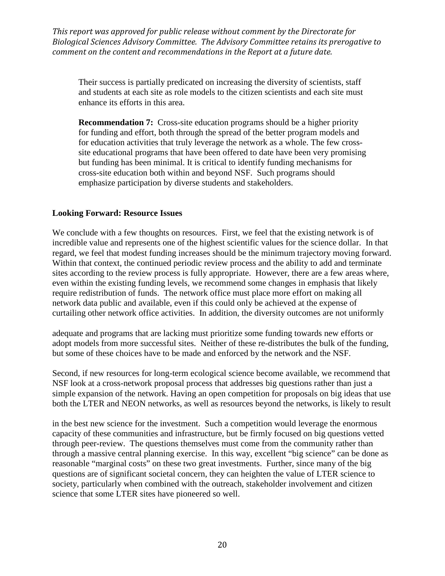Their success is partially predicated on increasing the diversity of scientists, staff and students at each site as role models to the citizen scientists and each site must enhance its efforts in this area.

**Recommendation 7:** Cross-site education programs should be a higher priority for funding and effort, both through the spread of the better program models and for education activities that truly leverage the network as a whole. The few crosssite educational programs that have been offered to date have been very promising but funding has been minimal. It is critical to identify funding mechanisms for cross-site education both within and beyond NSF. Such programs should emphasize participation by diverse students and stakeholders.

#### **Looking Forward: Resource Issues**

We conclude with a few thoughts on resources. First, we feel that the existing network is of incredible value and represents one of the highest scientific values for the science dollar. In that regard, we feel that modest funding increases should be the minimum trajectory moving forward. Within that context, the continued periodic review process and the ability to add and terminate sites according to the review process is fully appropriate. However, there are a few areas where, even within the existing funding levels, we recommend some changes in emphasis that likely require redistribution of funds. The network office must place more effort on making all network data public and available, even if this could only be achieved at the expense of curtailing other network office activities. In addition, the diversity outcomes are not uniformly

adequate and programs that are lacking must prioritize some funding towards new efforts or adopt models from more successful sites. Neither of these re-distributes the bulk of the funding, but some of these choices have to be made and enforced by the network and the NSF.

Second, if new resources for long-term ecological science become available, we recommend that NSF look at a cross-network proposal process that addresses big questions rather than just a simple expansion of the network. Having an open competition for proposals on big ideas that use both the LTER and NEON networks, as well as resources beyond the networks, is likely to result

in the best new science for the investment. Such a competition would leverage the enormous capacity of these communities and infrastructure, but be firmly focused on big questions vetted through peer-review. The questions themselves must come from the community rather than through a massive central planning exercise. In this way, excellent "big science" can be done as reasonable "marginal costs" on these two great investments. Further, since many of the big questions are of significant societal concern, they can heighten the value of LTER science to society, particularly when combined with the outreach, stakeholder involvement and citizen science that some LTER sites have pioneered so well.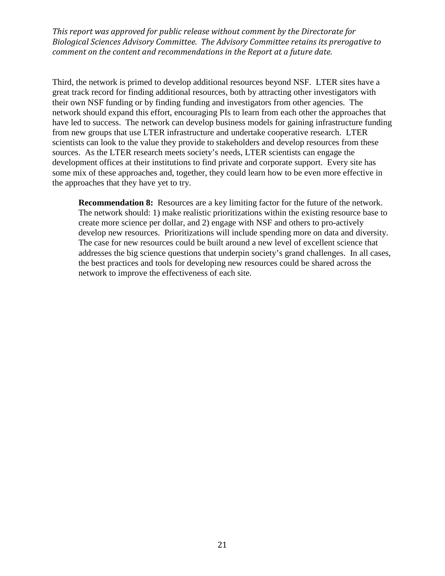Third, the network is primed to develop additional resources beyond NSF. LTER sites have a great track record for finding additional resources, both by attracting other investigators with their own NSF funding or by finding funding and investigators from other agencies. The network should expand this effort, encouraging PIs to learn from each other the approaches that have led to success. The network can develop business models for gaining infrastructure funding from new groups that use LTER infrastructure and undertake cooperative research. LTER scientists can look to the value they provide to stakeholders and develop resources from these sources. As the LTER research meets society's needs, LTER scientists can engage the development offices at their institutions to find private and corporate support. Every site has some mix of these approaches and, together, they could learn how to be even more effective in the approaches that they have yet to try.

**Recommendation 8:** Resources are a key limiting factor for the future of the network. The network should: 1) make realistic prioritizations within the existing resource base to create more science per dollar, and 2) engage with NSF and others to pro-actively develop new resources. Prioritizations will include spending more on data and diversity. The case for new resources could be built around a new level of excellent science that addresses the big science questions that underpin society's grand challenges. In all cases, the best practices and tools for developing new resources could be shared across the network to improve the effectiveness of each site.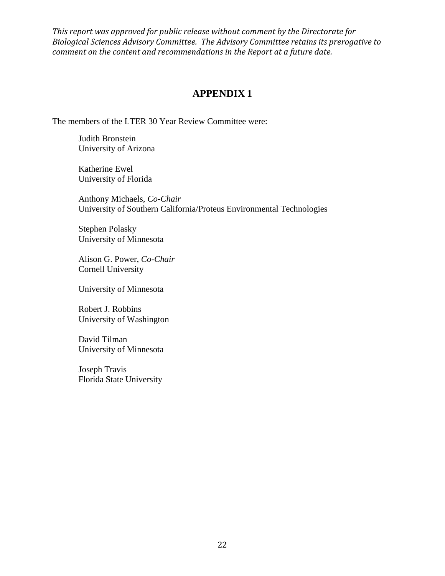## **APPENDIX 1**

The members of the LTER 30 Year Review Committee were:

Judith Bronstein University of Arizona

Katherine Ewel University of Florida

Anthony Michaels, *Co-Chair* University of Southern California/Proteus Environmental Technologies

Stephen Polasky University of Minnesota

Alison G. Power, *Co-Chair* Cornell University

University of Minnesota

Robert J. Robbins University of Washington

David Tilman University of Minnesota

Joseph Travis Florida State University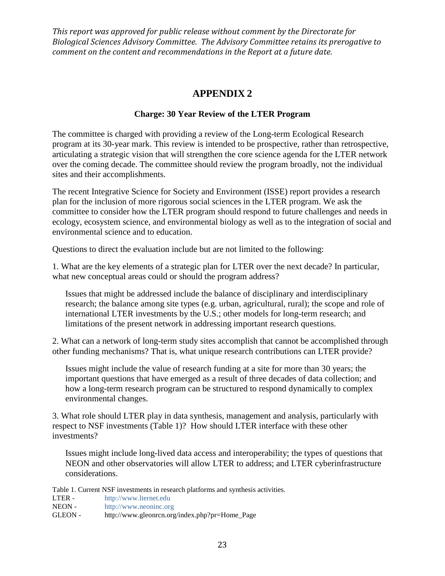## **APPENDIX 2**

## **Charge: 30 Year Review of the LTER Program**

The committee is charged with providing a review of the Long-term Ecological Research program at its 30-year mark. This review is intended to be prospective, rather than retrospective, articulating a strategic vision that will strengthen the core science agenda for the LTER network over the coming decade. The committee should review the program broadly, not the individual sites and their accomplishments.

The recent Integrative Science for Society and Environment (ISSE) report provides a research plan for the inclusion of more rigorous social sciences in the LTER program. We ask the committee to consider how the LTER program should respond to future challenges and needs in ecology, ecosystem science, and environmental biology as well as to the integration of social and environmental science and to education.

Questions to direct the evaluation include but are not limited to the following:

1. What are the key elements of a strategic plan for LTER over the next decade? In particular, what new conceptual areas could or should the program address?

Issues that might be addressed include the balance of disciplinary and interdisciplinary research; the balance among site types (e.g. urban, agricultural, rural); the scope and role of international LTER investments by the U.S.; other models for long-term research; and limitations of the present network in addressing important research questions.

2. What can a network of long-term study sites accomplish that cannot be accomplished through other funding mechanisms? That is, what unique research contributions can LTER provide?

Issues might include the value of research funding at a site for more than 30 years; the important questions that have emerged as a result of three decades of data collection; and how a long-term research program can be structured to respond dynamically to complex environmental changes.

3. What role should LTER play in data synthesis, management and analysis, particularly with respect to NSF investments (Table 1)? How should LTER interface with these other investments?

Issues might include long-lived data access and interoperability; the types of questions that NEON and other observatories will allow LTER to address; and LTER cyberinfrastructure considerations.

Table 1. Current NSF investments in research platforms and synthesis activities.

| LTER-   | http://www.lternet.edu                         |
|---------|------------------------------------------------|
| NEON -  | http://www.neoninc.org                         |
| GLEON - | http://www.gleonrcn.org/index.php?pr=Home_Page |